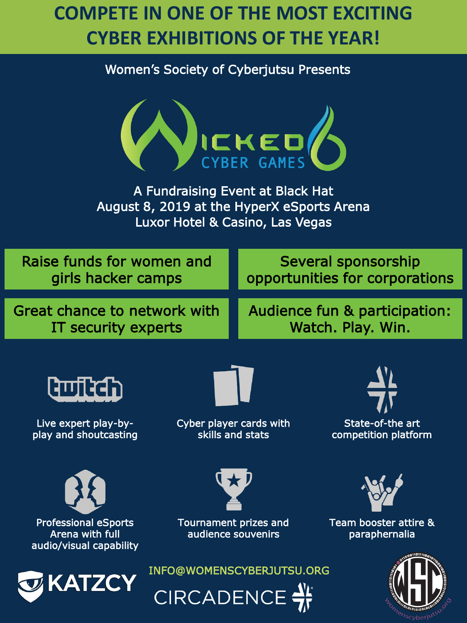## **COMPETE IN ONE OF THE MOST EXCITING CYBER EXHIBITIONS OF THE YEAR!**

#### Women's Society of Cyberjutsu Presents



A Fundraising Event at Black Hat August 8, 2019 at the HyperX eSports Arena Luxor Hotel & Casino, Las Vegas

Raise funds for women and girls hacker camps

Several sponsorship opportunities for corporations

Great chance to network with IT security experts

Audience fun & participation: Watch. Play. Win.



Live expert play-byplay and shoutcasting



Cyber player cards with skills and stats



State-of-the art competition platform







Tournament prizes and audience souvenirs